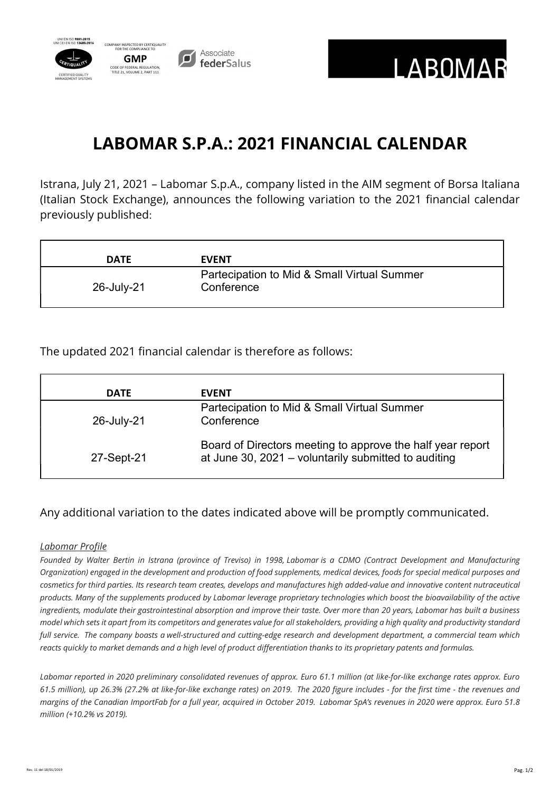



## LABOMAR S.P.A.: 2021 FINANCIAL CALENDAR

Istrana, July 21, 2021 – Labomar S.p.A., company listed in the AIM segment of Borsa Italiana (Italian Stock Exchange), announces the following variation to the 2021 financial calendar previously published:

| <b>DATE</b> | <b>EVENT</b>                                              |
|-------------|-----------------------------------------------------------|
| 26-July-21  | Partecipation to Mid & Small Virtual Summer<br>Conference |

The updated 2021 financial calendar is therefore as follows:

| <b>DATE</b> | <b>EVENT</b>                                                                                                       |
|-------------|--------------------------------------------------------------------------------------------------------------------|
| 26-July-21  | Partecipation to Mid & Small Virtual Summer<br>Conference                                                          |
| 27-Sept-21  | Board of Directors meeting to approve the half year report<br>at June 30, 2021 - voluntarily submitted to auditing |

## Any additional variation to the dates indicated above will be promptly communicated.

## Labomar Profile

Founded by Walter Bertin in Istrana (province of Treviso) in 1998, Labomar is a CDMO (Contract Development and Manufacturing Organization) engaged in the development and production of food supplements, medical devices, foods for special medical purposes and cosmetics for third parties. Its research team creates, develops and manufactures high added-value and innovative content nutraceutical products. Many of the supplements produced by Labomar leverage proprietary technologies which boost the bioavailability of the active ingredients, modulate their gastrointestinal absorption and improve their taste. Over more than 20 years, Labomar has built a business model which sets it apart from its competitors and generates value for all stakeholders, providing a high quality and productivity standard full service. The company boasts a well-structured and cutting-edge research and development department, a commercial team which reacts quickly to market demands and a high level of product differentiation thanks to its proprietary patents and formulas.

Labomar reported in 2020 preliminary consolidated revenues of approx. Euro 61.1 million (at like-for-like exchange rates approx. Euro 61.5 million), up 26.3% (27.2% at like-for-like exchange rates) on 2019. The 2020 figure includes - for the first time - the revenues and margins of the Canadian ImportFab for a full year, acquired in October 2019. Labomar SpA's revenues in 2020 were approx. Euro 51.8 million (+10.2% vs 2019).